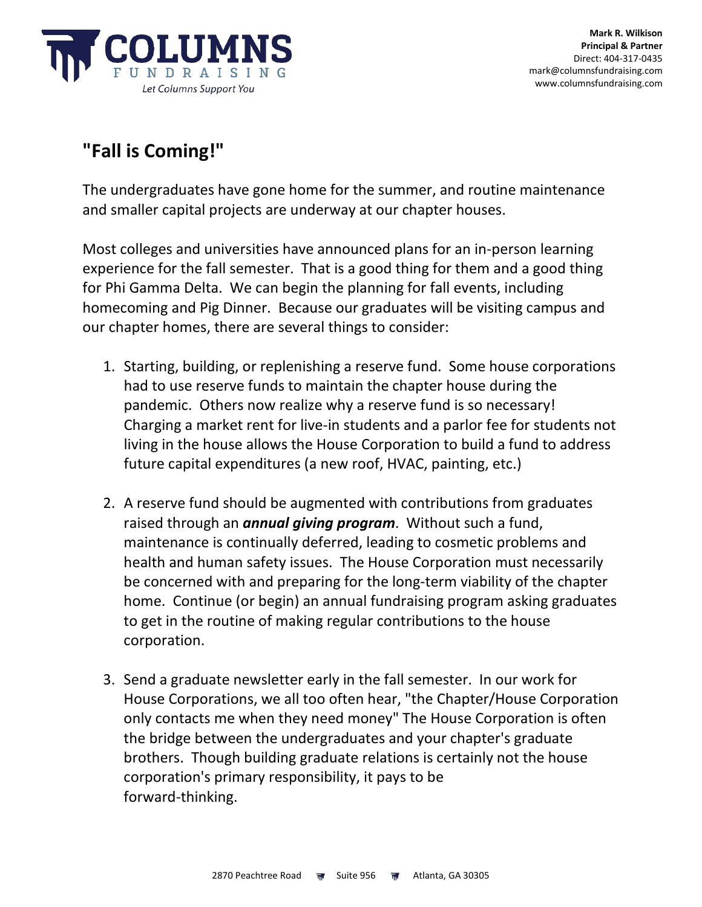

## **"Fall is Coming!"**

The undergraduates have gone home for the summer, and routine maintenance and smaller capital projects are underway at our chapter houses.

Most colleges and universities have announced plans for an in-person learning experience for the fall semester. That is a good thing for them and a good thing for Phi Gamma Delta. We can begin the planning for fall events, including homecoming and Pig Dinner. Because our graduates will be visiting campus and our chapter homes, there are several things to consider:

- 1. Starting, building, or replenishing a reserve fund. Some house corporations had to use reserve funds to maintain the chapter house during the pandemic. Others now realize why a reserve fund is so necessary! Charging a market rent for live-in students and a parlor fee for students not living in the house allows the House Corporation to build a fund to address future capital expenditures (a new roof, HVAC, painting, etc.)
- 2. A reserve fund should be augmented with contributions from graduates raised through an *annual giving program*. Without such a fund, maintenance is continually deferred, leading to cosmetic problems and health and human safety issues. The House Corporation must necessarily be concerned with and preparing for the long-term viability of the chapter home. Continue (or begin) an annual fundraising program asking graduates to get in the routine of making regular contributions to the house corporation.
- 3. Send a graduate newsletter early in the fall semester. In our work for House Corporations, we all too often hear, "the Chapter/House Corporation only contacts me when they need money" The House Corporation is often the bridge between the undergraduates and your chapter's graduate brothers. Though building graduate relations is certainly not the house corporation's primary responsibility, it pays to be forward-thinking.